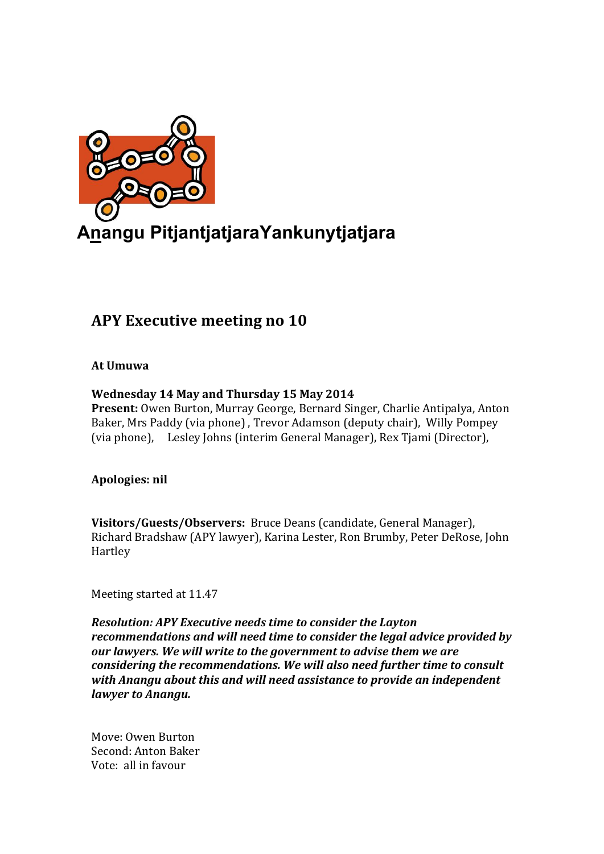

# **APY Executive meeting no 10**

# **At Umuwa**

# **Wednesday 14 May and Thursday 15 May 2014**

**Present:** Owen Burton, Murray George, Bernard Singer, Charlie Antipalya, Anton Baker, Mrs Paddy (via phone), Trevor Adamson (deputy chair), Willy Pompey (via phone), Lesley Johns (interim General Manager), Rex Tjami (Director),

# **Apologies: nil**

Visitors/Guests/Observers: Bruce Deans (candidate, General Manager), Richard Bradshaw (APY lawyer), Karina Lester, Ron Brumby, Peter DeRose, John Hartley

Meeting started at 11.47

*Resolution: APY Executive needs time to consider the Layton recommendations and will need time to consider the legal advice provided by* our lawyers. We will write to the government to advise them we are *considering the recommendations. We will also need further time to consult* with Anangu about this and will need assistance to provide an independent *lawyer to Anangu.* 

Move: Owen Burton Second: Anton Baker Vote: all in favour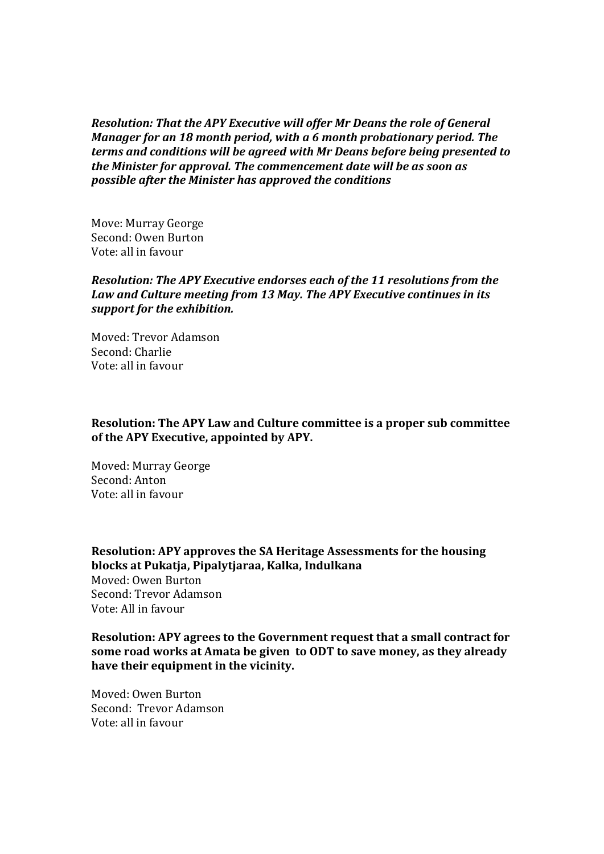*Resolution: That the APY Executive will offer Mr Deans the role of General Manager for an 18 month period, with a 6 month probationary period. The terms and conditions will be agreed with Mr Deans before being presented to the Minister for approval. The commencement date will be as soon as possible after the Minister has approved the conditions*

Move: Murray George Second: Owen Burton Vote: all in favour

#### *Resolution: The APY Executive endorses each of the 11 resolutions from the* Law and Culture meeting from 13 May. The APY Executive continues in its *support for the exhibition.*

Moved: Trevor Adamson Second: Charlie Vote: all in favour

#### **Resolution: The APY Law and Culture committee is a proper sub committee** of the APY Executive, appointed by APY.

Moved: Murray George Second: Anton Vote: all in favour

**Resolution: APY approves the SA Heritage Assessments for the housing blocks at Pukatja, Pipalytjaraa, Kalka, Indulkana** Moved: Owen Burton Second: Trevor Adamson Vote: All in favour

**Resolution: APY agrees to the Government request that a small contract for some road works at Amata be given to ODT to save money, as they already** have their equipment in the vicinity.

Moved: Owen Burton Second: Trevor Adamson Vote: all in favour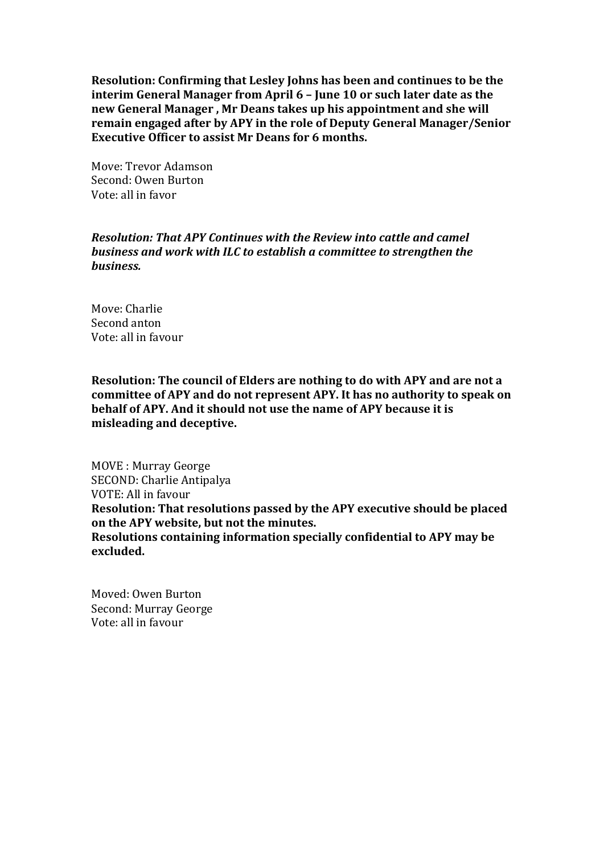**Resolution: Confirming that Lesley Johns has been and continues to be the interim General Manager from April 6 - June 10 or such later date as the** new General Manager, Mr Deans takes up his appointment and she will **remain engaged after by APY in the role of Deputy General Manager/Senior Executive Officer to assist Mr Deans for 6 months.** 

Move: Trevor Adamson Second: Owen Burton Vote: all in favor

#### *Resolution: That APY Continues with the Review into cattle and camel* **business and work with ILC to establish a committee to strengthen the** *business.*

Move: Charlie Second anton Vote: all in favour

**Resolution: The council of Elders are nothing to do with APY and are not a** committee of APY and do not represent APY. It has no authority to speak on **behalf of APY. And it should not use the name of APY because it is misleading and deceptive.**

MOVE : Murray George SECOND: Charlie Antipalya VOTE: All in favour **Resolution: That resolutions passed by the APY executive should be placed** on the APY website, but not the minutes. **Resolutions containing information specially confidential to APY may be excluded.**

Moved: Owen Burton Second: Murray George Vote: all in favour